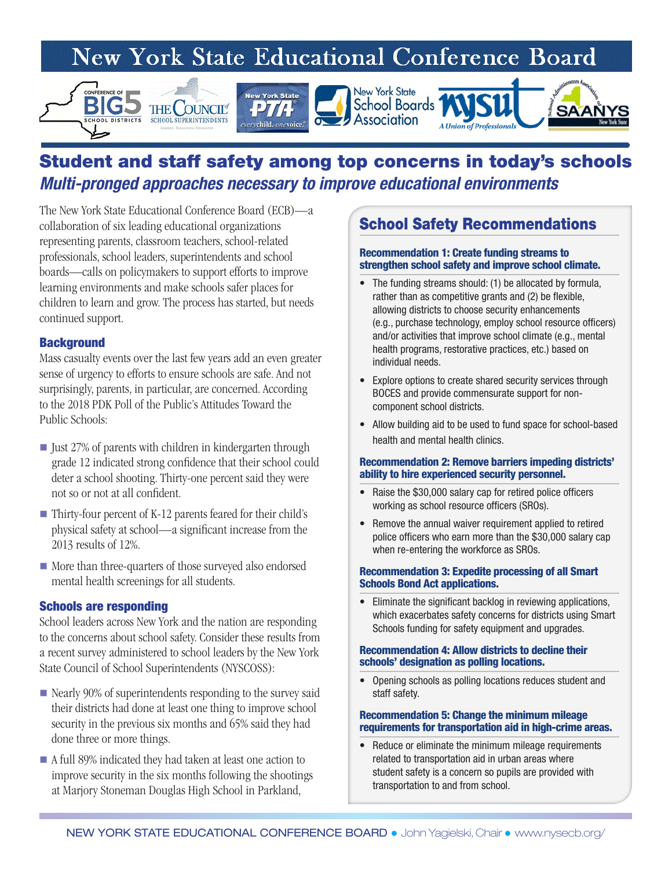# New York State Educational Conference Board



## Student and staff safety among top concerns in today's schools *Multi-pronged approaches necessary to improve educational environments*

The New York State Educational Conference Board (ECB)—a collaboration of six leading educational organizations representing parents, classroom teachers, school-related professionals, school leaders, superintendents and school boards—calls on policymakers to support efforts to improve learning environments and make schools safer places for children to learn and grow. The process has started, but needs continued support.

### **Background**

Mass casualty events over the last few years add an even greater sense of urgency to efforts to ensure schools are safe. And not surprisingly, parents, in particular, are concerned. According to the 2018 PDK Poll of the Public's Attitudes Toward the Public Schools:

- $\blacksquare$  Just 27% of parents with children in kindergarten through grade 12 indicated strong confidence that their school could deter a school shooting. Thirty-one percent said they were not so or not at all confident.
- Thirty-four percent of K-12 parents feared for their child's physical safety at school—a significant increase from the 2013 results of 12%.
- More than three-quarters of those surveyed also endorsed mental health screenings for all students.

#### Schools are responding

School leaders across New York and the nation are responding to the concerns about school safety. Consider these results from a recent survey administered to school leaders by the New York State Council of School Superintendents (NYSCOSS):

- Nearly 90% of superintendents responding to the survey said their districts had done at least one thing to improve school security in the previous six months and 65% said they had done three or more things.
- A full 89% indicated they had taken at least one action to improve security in the six months following the shootings at Marjory Stoneman Douglas High School in Parkland,

## School Safety Recommendations

#### Recommendation 1: Create funding streams to strengthen school safety and improve school climate.

- The funding streams should: (1) be allocated by formula, rather than as competitive grants and (2) be flexible, allowing districts to choose security enhancements (e.g., purchase technology, employ school resource officers) and/or activities that improve school climate (e.g., mental health programs, restorative practices, etc.) based on individual needs.
- Explore options to create shared security services through BOCES and provide commensurate support for noncomponent school districts.
- Allow building aid to be used to fund space for school-based health and mental health clinics.

#### Recommendation 2: Remove barriers impeding districts' ability to hire experienced security personnel.

- Raise the \$30,000 salary cap for retired police officers working as school resource officers (SROs).
- Remove the annual waiver requirement applied to retired police officers who earn more than the \$30,000 salary cap when re-entering the workforce as SROs.

#### Recommendation 3: Expedite processing of all Smart Schools Bond Act applications.

• Eliminate the significant backlog in reviewing applications, which exacerbates safety concerns for districts using Smart Schools funding for safety equipment and upgrades.

#### Recommendation 4: Allow districts to decline their schools' designation as polling locations.

• Opening schools as polling locations reduces student and staff safety.

#### Recommendation 5: Change the minimum mileage requirements for transportation aid in high-crime areas.

• Reduce or eliminate the minimum mileage requirements related to transportation aid in urban areas where student safety is a concern so pupils are provided with transportation to and from school.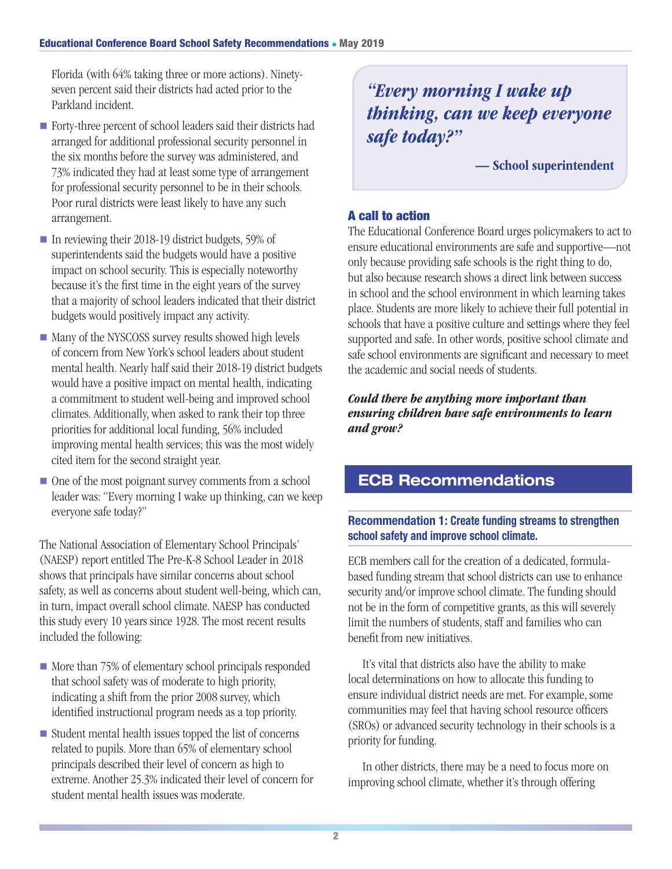Florida (with 64% taking three or more actions). Ninetyseven percent said their districts had acted prior to the Parkland incident.

- Forty-three percent of school leaders said their districts had arranged for additional professional security personnel in the six months before the survey was administered, and 73% indicated they had at least some type of arrangement for professional security personnel to be in their schools. Poor rural districts were least likely to have any such arrangement.
- In reviewing their 2018-19 district budgets, 59% of superintendents said the budgets would have a positive impact on school security. This is especially noteworthy because it's the first time in the eight years of the survey that a majority of school leaders indicated that their district budgets would positively impact any activity.
- Many of the NYSCOSS survey results showed high levels of concern from New York's school leaders about student mental health. Nearly half said their 2018-19 district budgets would have a positive impact on mental health, indicating a commitment to student well-being and improved school climates. Additionally, when asked to rank their top three priorities for additional local funding, 56% included improving mental health services; this was the most widely cited item for the second straight year.
- $\blacksquare$  One of the most poignant survey comments from a school leader was: "Every morning I wake up thinking, can we keep everyone safe today?"

The National Association of Elementary School Principals' (NAESP) report entitled The Pre-K-8 School Leader in 2018 shows that principals have similar concerns about school safety, as well as concerns about student well-being, which can, in turn, impact overall school climate. NAESP has conducted this study every 10 years since 1928. The most recent results included the following:

- $\blacksquare$  More than 75% of elementary school principals responded that school safety was of moderate to high priority, indicating a shift from the prior 2008 survey, which identified instructional program needs as a top priority.
- $\blacksquare$  Student mental health issues topped the list of concerns related to pupils. More than 65% of elementary school principals described their level of concern as high to extreme. Another 25.3% indicated their level of concern for student mental health issues was moderate.

## *"Every morning I wake up thinking, can we keep everyone safe today?"*

— School superintendent

## A call to action

The Educational Conference Board urges policymakers to act to ensure educational environments are safe and supportive—not only because providing safe schools is the right thing to do, but also because research shows a direct link between success in school and the school environment in which learning takes place. Students are more likely to achieve their full potential in schools that have a positive culture and settings where they feel supported and safe. In other words, positive school climate and safe school environments are significant and necessary to meet the academic and social needs of students.

*Could there be anything more important than ensuring children have safe environments to learn and grow?*

## ECB Recommendations

### Recommendation 1: Create funding streams to strengthen school safety and improve school climate.

ECB members call for the creation of a dedicated, formulabased funding stream that school districts can use to enhance security and/or improve school climate. The funding should not be in the form of competitive grants, as this will severely limit the numbers of students, staff and families who can benefit from new initiatives.

 It's vital that districts also have the ability to make local determinations on how to allocate this funding to ensure individual district needs are met. For example, some communities may feel that having school resource officers (SROs) or advanced security technology in their schools is a priority for funding.

 In other districts, there may be a need to focus more on improving school climate, whether it's through offering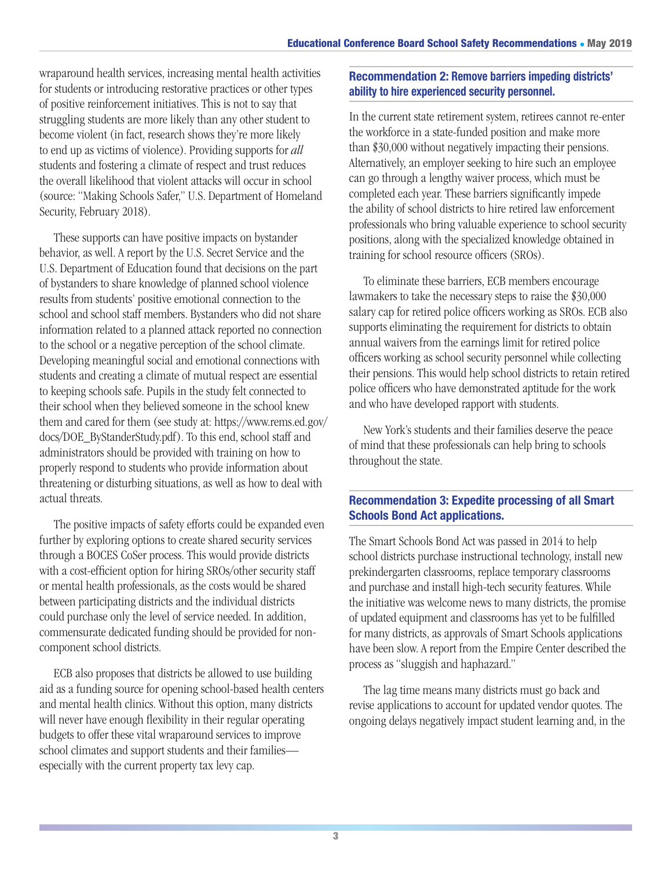wraparound health services, increasing mental health activities for students or introducing restorative practices or other types of positive reinforcement initiatives. This is not to say that struggling students are more likely than any other student to become violent (in fact, research shows they're more likely to end up as victims of violence). Providing supports for *all*  students and fostering a climate of respect and trust reduces the overall likelihood that violent attacks will occur in school (source: "Making Schools Safer," U.S. Department of Homeland Security, February 2018).

 These supports can have positive impacts on bystander behavior, as well. A report by the U.S. Secret Service and the U.S. Department of Education found that decisions on the part of bystanders to share knowledge of planned school violence results from students' positive emotional connection to the school and school staff members. Bystanders who did not share information related to a planned attack reported no connection to the school or a negative perception of the school climate. Developing meaningful social and emotional connections with students and creating a climate of mutual respect are essential to keeping schools safe. Pupils in the study felt connected to their school when they believed someone in the school knew them and cared for them (see study at: https://www.rems.ed.gov/ docs/DOE\_ByStanderStudy.pdf). To this end, school staff and administrators should be provided with training on how to properly respond to students who provide information about threatening or disturbing situations, as well as how to deal with actual threats.

 The positive impacts of safety efforts could be expanded even further by exploring options to create shared security services through a BOCES CoSer process. This would provide districts with a cost-efficient option for hiring SROs/other security staff or mental health professionals, as the costs would be shared between participating districts and the individual districts could purchase only the level of service needed. In addition, commensurate dedicated funding should be provided for noncomponent school districts.

 ECB also proposes that districts be allowed to use building aid as a funding source for opening school-based health centers and mental health clinics. Without this option, many districts will never have enough flexibility in their regular operating budgets to offer these vital wraparound services to improve school climates and support students and their families especially with the current property tax levy cap.

## Recommendation 2: Remove barriers impeding districts' ability to hire experienced security personnel.

In the current state retirement system, retirees cannot re-enter the workforce in a state-funded position and make more than \$30,000 without negatively impacting their pensions. Alternatively, an employer seeking to hire such an employee can go through a lengthy waiver process, which must be completed each year. These barriers significantly impede the ability of school districts to hire retired law enforcement professionals who bring valuable experience to school security positions, along with the specialized knowledge obtained in training for school resource officers (SROs).

 To eliminate these barriers, ECB members encourage lawmakers to take the necessary steps to raise the \$30,000 salary cap for retired police officers working as SROs. ECB also supports eliminating the requirement for districts to obtain annual waivers from the earnings limit for retired police officers working as school security personnel while collecting their pensions. This would help school districts to retain retired police officers who have demonstrated aptitude for the work and who have developed rapport with students.

 New York's students and their families deserve the peace of mind that these professionals can help bring to schools throughout the state.

## Recommendation 3: Expedite processing of all Smart Schools Bond Act applications.

The Smart Schools Bond Act was passed in 2014 to help school districts purchase instructional technology, install new prekindergarten classrooms, replace temporary classrooms and purchase and install high-tech security features. While the initiative was welcome news to many districts, the promise of updated equipment and classrooms has yet to be fulfilled for many districts, as approvals of Smart Schools applications have been slow. A report from the Empire Center described the process as "sluggish and haphazard."

 The lag time means many districts must go back and revise applications to account for updated vendor quotes. The ongoing delays negatively impact student learning and, in the

3